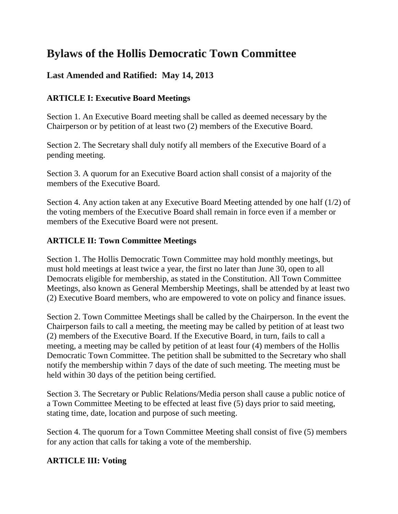# **Bylaws of the Hollis Democratic Town Committee**

# **Last Amended and Ratified: May 14, 2013**

# **ARTICLE I: Executive Board Meetings**

Section 1. An Executive Board meeting shall be called as deemed necessary by the Chairperson or by petition of at least two (2) members of the Executive Board.

Section 2. The Secretary shall duly notify all members of the Executive Board of a pending meeting.

Section 3. A quorum for an Executive Board action shall consist of a majority of the members of the Executive Board.

Section 4. Any action taken at any Executive Board Meeting attended by one half (1/2) of the voting members of the Executive Board shall remain in force even if a member or members of the Executive Board were not present.

## **ARTICLE II: Town Committee Meetings**

Section 1. The Hollis Democratic Town Committee may hold monthly meetings, but must hold meetings at least twice a year, the first no later than June 30, open to all Democrats eligible for membership, as stated in the Constitution. All Town Committee Meetings, also known as General Membership Meetings, shall be attended by at least two (2) Executive Board members, who are empowered to vote on policy and finance issues.

Section 2. Town Committee Meetings shall be called by the Chairperson. In the event the Chairperson fails to call a meeting, the meeting may be called by petition of at least two (2) members of the Executive Board. If the Executive Board, in turn, fails to call a meeting, a meeting may be called by petition of at least four (4) members of the Hollis Democratic Town Committee. The petition shall be submitted to the Secretary who shall notify the membership within 7 days of the date of such meeting. The meeting must be held within 30 days of the petition being certified.

Section 3. The Secretary or Public Relations/Media person shall cause a public notice of a Town Committee Meeting to be effected at least five (5) days prior to said meeting, stating time, date, location and purpose of such meeting.

Section 4. The quorum for a Town Committee Meeting shall consist of five (5) members for any action that calls for taking a vote of the membership.

## **ARTICLE III: Voting**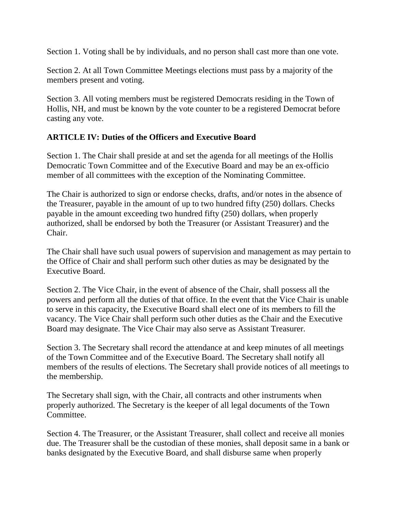Section 1. Voting shall be by individuals, and no person shall cast more than one vote.

Section 2. At all Town Committee Meetings elections must pass by a majority of the members present and voting.

Section 3. All voting members must be registered Democrats residing in the Town of Hollis, NH, and must be known by the vote counter to be a registered Democrat before casting any vote.

#### **ARTICLE IV: Duties of the Officers and Executive Board**

Section 1. The Chair shall preside at and set the agenda for all meetings of the Hollis Democratic Town Committee and of the Executive Board and may be an ex-officio member of all committees with the exception of the Nominating Committee.

The Chair is authorized to sign or endorse checks, drafts, and/or notes in the absence of the Treasurer, payable in the amount of up to two hundred fifty (250) dollars. Checks payable in the amount exceeding two hundred fifty (250) dollars, when properly authorized, shall be endorsed by both the Treasurer (or Assistant Treasurer) and the Chair.

The Chair shall have such usual powers of supervision and management as may pertain to the Office of Chair and shall perform such other duties as may be designated by the Executive Board.

Section 2. The Vice Chair, in the event of absence of the Chair, shall possess all the powers and perform all the duties of that office. In the event that the Vice Chair is unable to serve in this capacity, the Executive Board shall elect one of its members to fill the vacancy. The Vice Chair shall perform such other duties as the Chair and the Executive Board may designate. The Vice Chair may also serve as Assistant Treasurer.

Section 3. The Secretary shall record the attendance at and keep minutes of all meetings of the Town Committee and of the Executive Board. The Secretary shall notify all members of the results of elections. The Secretary shall provide notices of all meetings to the membership.

The Secretary shall sign, with the Chair, all contracts and other instruments when properly authorized. The Secretary is the keeper of all legal documents of the Town Committee.

Section 4. The Treasurer, or the Assistant Treasurer, shall collect and receive all monies due. The Treasurer shall be the custodian of these monies, shall deposit same in a bank or banks designated by the Executive Board, and shall disburse same when properly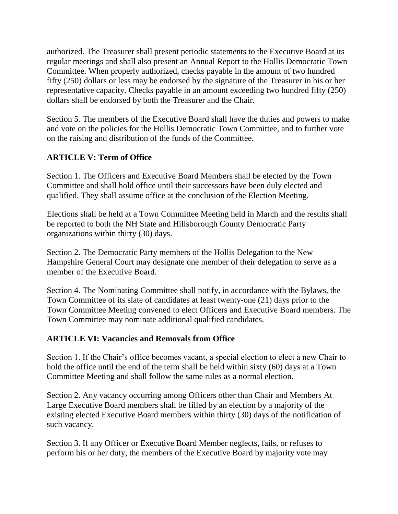authorized. The Treasurer shall present periodic statements to the Executive Board at its regular meetings and shall also present an Annual Report to the Hollis Democratic Town Committee. When properly authorized, checks payable in the amount of two hundred fifty (250) dollars or less may be endorsed by the signature of the Treasurer in his or her representative capacity. Checks payable in an amount exceeding two hundred fifty (250) dollars shall be endorsed by both the Treasurer and the Chair.

Section 5. The members of the Executive Board shall have the duties and powers to make and vote on the policies for the Hollis Democratic Town Committee, and to further vote on the raising and distribution of the funds of the Committee.

## **ARTICLE V: Term of Office**

Section 1. The Officers and Executive Board Members shall be elected by the Town Committee and shall hold office until their successors have been duly elected and qualified. They shall assume office at the conclusion of the Election Meeting.

Elections shall be held at a Town Committee Meeting held in March and the results shall be reported to both the NH State and Hillsborough County Democratic Party organizations within thirty (30) days.

Section 2. The Democratic Party members of the Hollis Delegation to the New Hampshire General Court may designate one member of their delegation to serve as a member of the Executive Board.

Section 4. The Nominating Committee shall notify, in accordance with the Bylaws, the Town Committee of its slate of candidates at least twenty-one (21) days prior to the Town Committee Meeting convened to elect Officers and Executive Board members. The Town Committee may nominate additional qualified candidates.

## **ARTICLE VI: Vacancies and Removals from Office**

Section 1. If the Chair's office becomes vacant, a special election to elect a new Chair to hold the office until the end of the term shall be held within sixty (60) days at a Town Committee Meeting and shall follow the same rules as a normal election.

Section 2. Any vacancy occurring among Officers other than Chair and Members At Large Executive Board members shall be filled by an election by a majority of the existing elected Executive Board members within thirty (30) days of the notification of such vacancy.

Section 3. If any Officer or Executive Board Member neglects, fails, or refuses to perform his or her duty, the members of the Executive Board by majority vote may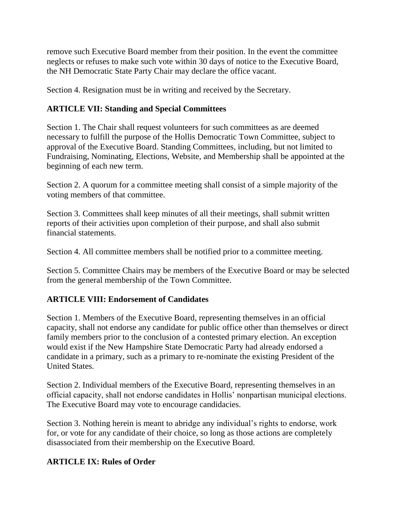remove such Executive Board member from their position. In the event the committee neglects or refuses to make such vote within 30 days of notice to the Executive Board, the NH Democratic State Party Chair may declare the office vacant.

Section 4. Resignation must be in writing and received by the Secretary.

# **ARTICLE VII: Standing and Special Committees**

Section 1. The Chair shall request volunteers for such committees as are deemed necessary to fulfill the purpose of the Hollis Democratic Town Committee, subject to approval of the Executive Board. Standing Committees, including, but not limited to Fundraising, Nominating, Elections, Website, and Membership shall be appointed at the beginning of each new term.

Section 2. A quorum for a committee meeting shall consist of a simple majority of the voting members of that committee.

Section 3. Committees shall keep minutes of all their meetings, shall submit written reports of their activities upon completion of their purpose, and shall also submit financial statements.

Section 4. All committee members shall be notified prior to a committee meeting.

Section 5. Committee Chairs may be members of the Executive Board or may be selected from the general membership of the Town Committee.

## **ARTICLE VIII: Endorsement of Candidates**

Section 1. Members of the Executive Board, representing themselves in an official capacity, shall not endorse any candidate for public office other than themselves or direct family members prior to the conclusion of a contested primary election. An exception would exist if the New Hampshire State Democratic Party had already endorsed a candidate in a primary, such as a primary to re-nominate the existing President of the United States.

Section 2. Individual members of the Executive Board, representing themselves in an official capacity, shall not endorse candidates in Hollis' nonpartisan municipal elections. The Executive Board may vote to encourage candidacies.

Section 3. Nothing herein is meant to abridge any individual's rights to endorse, work for, or vote for any candidate of their choice, so long as those actions are completely disassociated from their membership on the Executive Board.

## **ARTICLE IX: Rules of Order**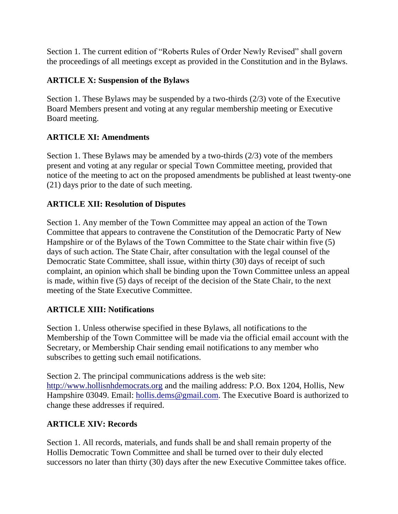Section 1. The current edition of "Roberts Rules of Order Newly Revised" shall govern the proceedings of all meetings except as provided in the Constitution and in the Bylaws.

# **ARTICLE X: Suspension of the Bylaws**

Section 1. These Bylaws may be suspended by a two-thirds (2/3) vote of the Executive Board Members present and voting at any regular membership meeting or Executive Board meeting.

# **ARTICLE XI: Amendments**

Section 1. These Bylaws may be amended by a two-thirds (2/3) vote of the members present and voting at any regular or special Town Committee meeting, provided that notice of the meeting to act on the proposed amendments be published at least twenty-one (21) days prior to the date of such meeting.

# **ARTICLE XII: Resolution of Disputes**

Section 1. Any member of the Town Committee may appeal an action of the Town Committee that appears to contravene the Constitution of the Democratic Party of New Hampshire or of the Bylaws of the Town Committee to the State chair within five (5) days of such action. The State Chair, after consultation with the legal counsel of the Democratic State Committee, shall issue, within thirty (30) days of receipt of such complaint, an opinion which shall be binding upon the Town Committee unless an appeal is made, within five (5) days of receipt of the decision of the State Chair, to the next meeting of the State Executive Committee.

# **ARTICLE XIII: Notifications**

Section 1. Unless otherwise specified in these Bylaws, all notifications to the Membership of the Town Committee will be made via the official email account with the Secretary, or Membership Chair sending email notifications to any member who subscribes to getting such email notifications.

Section 2. The principal communications address is the web site: [http://www.hollisnhdemocrats.org](http://www.hollisnhdemocrats.org/) and the mailing address: P.O. Box 1204, Hollis, New Hampshire 03049. Email: [hollis.dems@gmail.com.](mailto:hollis.dems@gmail.com) The Executive Board is authorized to change these addresses if required.

# **ARTICLE XIV: Records**

Section 1. All records, materials, and funds shall be and shall remain property of the Hollis Democratic Town Committee and shall be turned over to their duly elected successors no later than thirty (30) days after the new Executive Committee takes office.